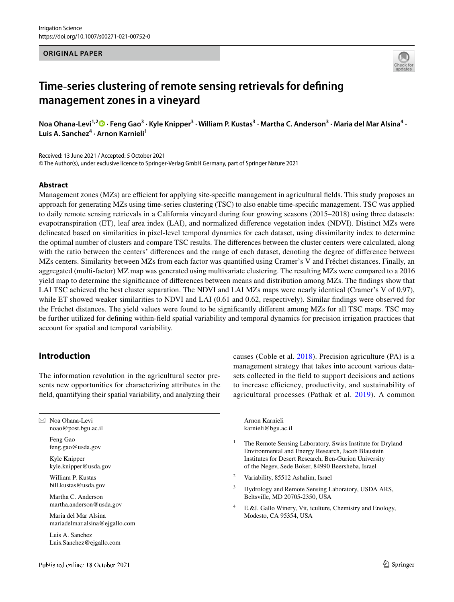### **ORIGINAL PAPER**



# **Time**‑**series clustering of remote sensing retrievals for defning management zones in a vineyard**

Noa Ohana-Levi<sup>1,2</sup>® [·](http://orcid.org/0000-0002-6909-7934) Feng Gao<sup>3</sup> · Kyle Knipper<sup>3</sup> · William P. Kustas<sup>3</sup> · Martha C. Anderson<sup>3</sup> · Maria del Mar Alsina<sup>4</sup> · **Luis A. Sanchez<sup>4</sup> · Arnon Karnieli1**

Received: 13 June 2021 / Accepted: 5 October 2021 © The Author(s), under exclusive licence to Springer-Verlag GmbH Germany, part of Springer Nature 2021

## **Abstract**

Management zones (MZs) are efficient for applying site-specific management in agricultural fields. This study proposes an approach for generating MZs using time-series clustering (TSC) to also enable time-specifc management. TSC was applied to daily remote sensing retrievals in a California vineyard during four growing seasons (2015–2018) using three datasets: evapotranspiration (ET), leaf area index (LAI), and normalized diference vegetation index (NDVI). Distinct MZs were delineated based on similarities in pixel-level temporal dynamics for each dataset, using dissimilarity index to determine the optimal number of clusters and compare TSC results. The diferences between the cluster centers were calculated, along with the ratio between the centers' diferences and the range of each dataset, denoting the degree of diference between MZs centers. Similarity between MZs from each factor was quantifed using Cramer's V and Fréchet distances. Finally, an aggregated (multi-factor) MZ map was generated using multivariate clustering. The resulting MZs were compared to a 2016 yield map to determine the signifcance of diferences between means and distribution among MZs. The fndings show that LAI TSC achieved the best cluster separation. The NDVI and LAI MZs maps were nearly identical (Cramer's V of 0.97), while ET showed weaker similarities to NDVI and LAI (0.61 and 0.62, respectively). Similar findings were observed for the Fréchet distances. The yield values were found to be signifcantly diferent among MZs for all TSC maps. TSC may be further utilized for defning within-feld spatial variability and temporal dynamics for precision irrigation practices that account for spatial and temporal variability.

# **Introduction**

The information revolution in the agricultural sector presents new opportunities for characterizing attributes in the feld, quantifying their spatial variability, and analyzing their

⊠ Noa Ohana-Levi noao@post.bgu.ac.il

> Feng Gao feng.gao@usda.gov

Kyle Knipper kyle.knipper@usda.gov

William P. Kustas bill.kustas@usda.gov

Martha C. Anderson martha.anderson@usda.gov

Maria del Mar Alsina mariadelmar.alsina@ejgallo.com

Luis A. Sanchez Luis.Sanchez@ejgallo.com causes (Coble et al. [2018](#page-12-0)). Precision agriculture (PA) is a management strategy that takes into account various datasets collected in the feld to support decisions and actions to increase efficiency, productivity, and sustainability of agricultural processes (Pathak et al. [2019\)](#page-13-0). A common

Arnon Karnieli karnieli@bgu.ac.il

- <sup>1</sup> The Remote Sensing Laboratory, Swiss Institute for Dryland Environmental and Energy Research, Jacob Blaustein Institutes for Desert Research, Ben-Gurion University of the Negev, Sede Boker, 84990 Beersheba, Israel
- <sup>2</sup> Variability, 85512 Ashalim, Israel
- <sup>3</sup> Hydrology and Remote Sensing Laboratory, USDA ARS, Beltsville, MD 20705‑2350, USA
- <sup>4</sup> E.&J. Gallo Winery, Vit, iculture, Chemistry and Enology, Modesto, CA 95354, USA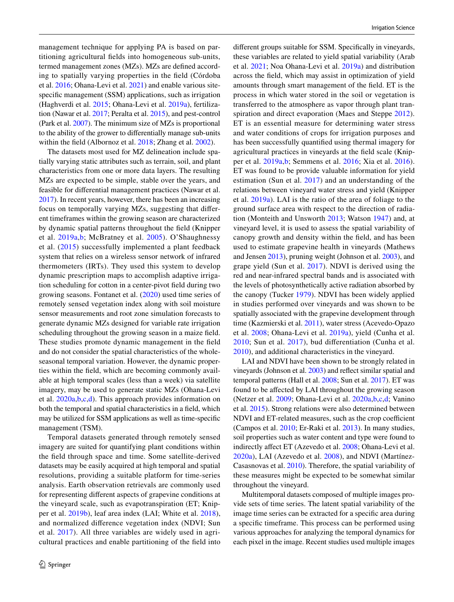management technique for applying PA is based on partitioning agricultural felds into homogeneous sub-units, termed management zones (MZs). MZs are defned according to spatially varying properties in the feld (Córdoba et al. [2016;](#page-12-1) Ohana-Levi et al. [2021](#page-13-1)) and enable various sitespecifc management (SSM) applications, such as irrigation (Haghverdi et al. [2015](#page-12-2); Ohana-Levi et al. [2019a\)](#page-13-2), fertilization (Nawar et al. [2017](#page-13-3); Peralta et al. [2015](#page-13-4)), and pest-control (Park et al. [2007\)](#page-13-5). The minimum size of MZs is proportional to the ability of the grower to diferentially manage sub-units within the feld (Albornoz et al. [2018](#page-11-0); Zhang et al. [2002\)](#page-14-0).

The datasets most used for MZ delineation include spatially varying static attributes such as terrain, soil, and plant characteristics from one or more data layers. The resulting MZs are expected to be simple, stable over the years, and feasible for diferential management practices (Nawar et al. [2017\)](#page-13-3). In recent years, however, there has been an increasing focus on temporally varying MZs, suggesting that diferent timeframes within the growing season are characterized by dynamic spatial patterns throughout the feld (Knipper et al. [2019a](#page-12-3),[b;](#page-12-4) McBratney et al. [2005](#page-13-6)). O'Shaughnessy et al. [\(2015](#page-13-7)) successfully implemented a plant feedback system that relies on a wireless sensor network of infrared thermometers (IRTs). They used this system to develop dynamic prescription maps to accomplish adaptive irrigation scheduling for cotton in a center-pivot feld during two growing seasons. Fontanet et al. ([2020](#page-12-5)) used time series of remotely sensed vegetation index along with soil moisture sensor measurements and root zone simulation forecasts to generate dynamic MZs designed for variable rate irrigation scheduling throughout the growing season in a maize feld. These studies promote dynamic management in the feld and do not consider the spatial characteristics of the wholeseasonal temporal variation. However, the dynamic properties within the feld, which are becoming commonly available at high temporal scales (less than a week) via satellite imagery, may be used to generate static MZs (Ohana-Levi et al. [2020a](#page-13-1)[,b](#page-13-8),[c](#page-13-9),[d](#page-13-10)). This approach provides information on both the temporal and spatial characteristics in a feld, which may be utilized for SSM applications as well as time-specifc management (TSM).

Temporal datasets generated through remotely sensed imagery are suited for quantifying plant conditions within the feld through space and time. Some satellite-derived datasets may be easily acquired at high temporal and spatial resolutions, providing a suitable platform for time-series analysis. Earth observation retrievals are commonly used for representing diferent aspects of grapevine conditions at the vineyard scale, such as evapotranspiration (ET; Knipper et al. [2019b](#page-12-4)), leaf area index (LAI; White et al. [2018](#page-14-1)), and normalized diference vegetation index (NDVI; Sun et al. [2017](#page-14-2)). All three variables are widely used in agricultural practices and enable partitioning of the feld into diferent groups suitable for SSM. Specifcally in vineyards, these variables are related to yield spatial variability (Arab et al. [2021](#page-11-1); Noa Ohana-Levi et al. [2019a](#page-13-2)) and distribution across the feld, which may assist in optimization of yield amounts through smart management of the feld. ET is the process in which water stored in the soil or vegetation is transferred to the atmosphere as vapor through plant transpiration and direct evaporation (Maes and Steppe [2012](#page-13-11)). ET is an essential measure for determining water stress and water conditions of crops for irrigation purposes and has been successfully quantifed using thermal imagery for agricultural practices in vineyards at the feld scale (Knipper et al. [2019a,](#page-12-3)[b](#page-12-4); Semmens et al. [2016;](#page-13-12) Xia et al. [2016](#page-14-3)). ET was found to be provide valuable information for yield estimation (Sun et al. [2017](#page-14-2)) and an understanding of the relations between vineyard water stress and yield (Knipper et al. [2019a\)](#page-12-3). LAI is the ratio of the area of foliage to the ground surface area with respect to the direction of radiation (Monteith and Unsworth [2013](#page-13-13); Watson [1947](#page-14-4)) and, at vineyard level, it is used to assess the spatial variability of canopy growth and density within the feld, and has been used to estimate grapevine health in vineyards (Mathews and Jensen [2013](#page-13-14)), pruning weight (Johnson et al. [2003\)](#page-12-6), and grape yield (Sun et al. [2017\)](#page-14-2). NDVI is derived using the red and near-infrared spectral bands and is associated with the levels of photosynthetically active radiation absorbed by the canopy (Tucker [1979\)](#page-14-5). NDVI has been widely applied in studies performed over vineyards and was shown to be spatially associated with the grapevine development through time (Kazmierski et al. [2011\)](#page-12-7), water stress (Acevedo-Opazo et al. [2008](#page-11-2); Ohana-Levi et al. [2019a](#page-13-2)), yield (Cunha et al. [2010;](#page-12-8) Sun et al. [2017](#page-14-2)), bud diferentiation (Cunha et al. [2010](#page-12-8)), and additional characteristics in the vineyard.

LAI and NDVI have been shown to be strongly related in vineyards (Johnson et al. [2003](#page-12-6)) and refect similar spatial and temporal patterns (Hall et al. [2008](#page-12-9); Sun et al. [2017](#page-14-2)). ET was found to be afected by LAI throughout the growing season (Netzer et al. [2009;](#page-13-15) Ohana-Levi et al. [2020a](#page-13-1),[b](#page-13-8)[,c](#page-13-9)[,d;](#page-13-10) Vanino et al. [2015](#page-14-6)). Strong relations were also determined between NDVI and ET-related measures, such as the crop coefficient (Campos et al. [2010;](#page-12-10) Er-Raki et al. [2013\)](#page-12-11). In many studies, soil properties such as water content and type were found to indirectly affect ET (Azevedo et al. [2008](#page-12-12); Ohana-Levi et al. [2020a](#page-13-1)), LAI (Azevedo et al. [2008\)](#page-12-12), and NDVI (Martínez-Casasnovas et al. [2010\)](#page-13-16). Therefore, the spatial variability of these measures might be expected to be somewhat similar throughout the vineyard.

Multitemporal datasets composed of multiple images provide sets of time series. The latent spatial variability of the image time series can be extracted for a specifc area during a specifc timeframe. This process can be performed using various approaches for analyzing the temporal dynamics for each pixel in the image. Recent studies used multiple images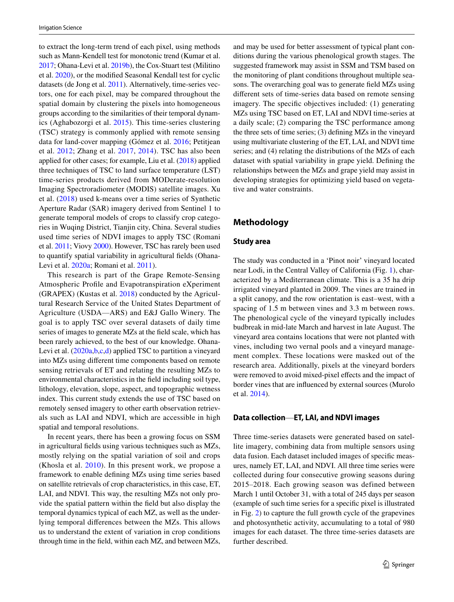to extract the long-term trend of each pixel, using methods such as Mann-Kendell test for monotonic trend (Kumar et al. [2017;](#page-12-13) Ohana-Levi et al. [2019b](#page-13-17)), the Cox-Stuart test (Militino et al. [2020\)](#page-13-18), or the modifed Seasonal Kendall test for cyclic datasets (de Jong et al. [2011\)](#page-12-14). Alternatively, time-series vectors, one for each pixel, may be compared throughout the spatial domain by clustering the pixels into homogeneous groups according to the similarities of their temporal dynamics (Aghabozorgi et al. [2015](#page-11-3)). This time-series clustering (TSC) strategy is commonly applied with remote sensing data for land-cover mapping (Gómez et al. [2016;](#page-12-15) Petitjean et al. [2012;](#page-13-19) Zhang et al. [2017,](#page-14-7) [2014\)](#page-14-8). TSC has also been applied for other cases; for example, Liu et al. ([2018\)](#page-13-20) applied three techniques of TSC to land surface temperature (LST) time-series products derived from MODerate-resolution Imaging Spectroradiometer (MODIS) satellite images. Xu et al. ([2018](#page-14-9)) used k-means over a time series of Synthetic Aperture Radar (SAR) imagery derived from Sentinel 1 to generate temporal models of crops to classify crop categories in Wuqing District, Tianjin city, China. Several studies used time series of NDVI images to apply TSC (Romani et al. [2011;](#page-13-21) Viovy [2000\)](#page-14-10). However, TSC has rarely been used to quantify spatial variability in agricultural felds (Ohana-Levi et al. [2020a](#page-13-1); Romani et al. [2011\)](#page-13-21).

This research is part of the Grape Remote-Sensing Atmospheric Profle and Evapotranspiration eXperiment (GRAPEX) (Kustas et al. [2018\)](#page-12-16) conducted by the Agricultural Research Service of the United States Department of Agriculture (USDA—ARS) and E&J Gallo Winery. The goal is to apply TSC over several datasets of daily time series of images to generate MZs at the feld scale, which has been rarely achieved, to the best of our knowledge. Ohana-Levi et al. [\(2020a](#page-13-1)[,b](#page-13-8),[c](#page-13-9),[d\)](#page-13-10) applied TSC to partition a vineyard into MZs using diferent time components based on remote sensing retrievals of ET and relating the resulting MZs to environmental characteristics in the feld including soil type, lithology, elevation, slope, aspect, and topographic wetness index. This current study extends the use of TSC based on remotely sensed imagery to other earth observation retrievals such as LAI and NDVI, which are accessible in high spatial and temporal resolutions.

In recent years, there has been a growing focus on SSM in agricultural felds using various techniques such as MZs, mostly relying on the spatial variation of soil and crops (Khosla et al. [2010\)](#page-12-17). In this present work, we propose a framework to enable defning MZs using time series based on satellite retrievals of crop characteristics, in this case, ET, LAI, and NDVI. This way, the resulting MZs not only provide the spatial pattern within the feld but also display the temporal dynamics typical of each MZ, as well as the underlying temporal diferences between the MZs. This allows us to understand the extent of variation in crop conditions through time in the feld, within each MZ, and between MZs,

and may be used for better assessment of typical plant conditions during the various phenological growth stages. The suggested framework may assist in SSM and TSM based on the monitoring of plant conditions throughout multiple seasons. The overarching goal was to generate feld MZs using diferent sets of time-series data based on remote sensing imagery. The specifc objectives included: (1) generating MZs using TSC based on ET, LAI and NDVI time-series at a daily scale; (2) comparing the TSC performance among the three sets of time series; (3) defning MZs in the vineyard using multivariate clustering of the ET, LAI, and NDVI time series; and (4) relating the distributions of the MZs of each dataset with spatial variability in grape yield. Defning the relationships between the MZs and grape yield may assist in developing strategies for optimizing yield based on vegetative and water constraints.

# **Methodology**

## <span id="page-2-0"></span>**Study area**

The study was conducted in a 'Pinot noir' vineyard located near Lodi, in the Central Valley of California (Fig. [1\)](#page-3-0), characterized by a Mediterranean climate. This is a 35 ha drip irrigated vineyard planted in 2009. The vines are trained in a split canopy, and the row orientation is east–west, with a spacing of 1.5 m between vines and 3.3 m between rows. The phenological cycle of the vineyard typically includes budbreak in mid-late March and harvest in late August. The vineyard area contains locations that were not planted with vines, including two vernal pools and a vineyard management complex. These locations were masked out of the research area. Additionally, pixels at the vineyard borders were removed to avoid mixed-pixel effects and the impact of border vines that are infuenced by external sources (Murolo et al. [2014](#page-13-22)).

#### **Data collection**—**ET, LAI, and NDVI images**

Three time-series datasets were generated based on satellite imagery, combining data from multiple sensors using data fusion. Each dataset included images of specifc measures, namely ET, LAI, and NDVI. All three time series were collected during four consecutive growing seasons during 2015–2018. Each growing season was defined between March 1 until October 31, with a total of 245 days per season (example of such time series for a specifc pixel is illustrated in Fig. [2](#page-3-1)) to capture the full growth cycle of the grapevines and photosynthetic activity, accumulating to a total of 980 images for each dataset. The three time-series datasets are further described.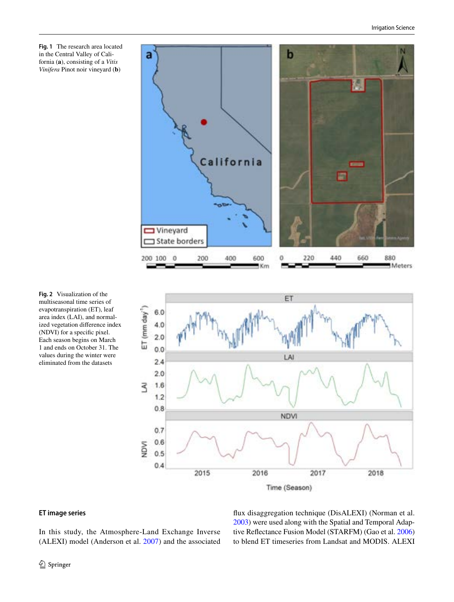<span id="page-3-0"></span>



<span id="page-3-1"></span>



# **ET image series**

In this study, the Atmosphere-Land Exchange Inverse (ALEXI) model (Anderson et al. [2007](#page-11-4)) and the associated fux disaggregation technique (DisALEXI) (Norman et al. [2003](#page-13-23)) were used along with the Spatial and Temporal Adaptive Refectance Fusion Model (STARFM) (Gao et al. [2006](#page-12-18)) to blend ET timeseries from Landsat and MODIS. ALEXI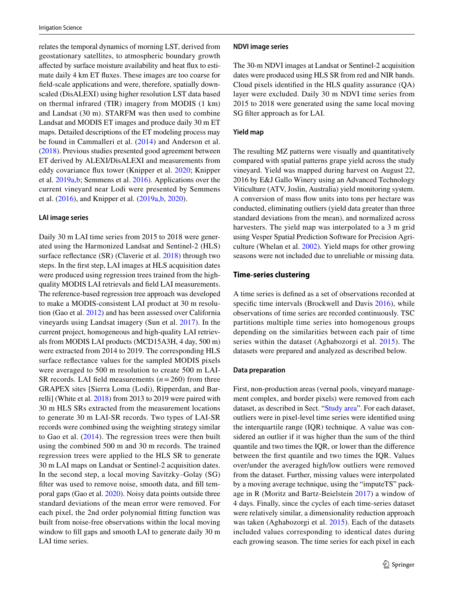relates the temporal dynamics of morning LST, derived from geostationary satellites, to atmospheric boundary growth afected by surface moisture availability and heat fux to estimate daily 4 km ET fuxes. These images are too coarse for feld-scale applications and were, therefore, spatially downscaled (DisALEXI) using higher resolution LST data based on thermal infrared (TIR) imagery from MODIS (1 km) and Landsat (30 m). STARFM was then used to combine Landsat and MODIS ET images and produce daily 30 m ET maps. Detailed descriptions of the ET modeling process may be found in Cammalleri et al. ([2014](#page-12-19)) and Anderson et al. [\(2018](#page-11-5)). Previous studies presented good agreement between ET derived by ALEXI/DisALEXI and measurements from eddy covariance fux tower (Knipper et al. [2020;](#page-12-20) Knipper et al. [2019a,](#page-12-3)[b](#page-12-4); Semmens et al. [2016](#page-13-12)). Applications over the current vineyard near Lodi were presented by Semmens et al. [\(2016\)](#page-13-12), and Knipper et al. ([2019a](#page-12-3),[b](#page-12-4), [2020](#page-12-20)).

#### **LAI image series**

Daily 30 m LAI time series from 2015 to 2018 were generated using the Harmonized Landsat and Sentinel-2 (HLS) surface reflectance (SR) (Claverie et al. [2018](#page-12-21)) through two steps. In the frst step, LAI images at HLS acquisition dates were produced using regression trees trained from the highquality MODIS LAI retrievals and feld LAI measurements. The reference-based regression tree approach was developed to make a MODIS-consistent LAI product at 30 m resolution (Gao et al. [2012](#page-12-22)) and has been assessed over California vineyards using Landsat imagery (Sun et al. [2017](#page-14-2)). In the current project, homogeneous and high-quality LAI retrievals from MODIS LAI products (MCD15A3H, 4 day, 500 m) were extracted from 2014 to 2019. The corresponding HLS surface refectance values for the sampled MODIS pixels were averaged to 500 m resolution to create 500 m LAI-SR records. LAI field measurements  $(n=260)$  from three GRAPEX sites [Sierra Loma (Lodi), Ripperdan, and Barrelli] (White et al. [2018\)](#page-14-1) from 2013 to 2019 were paired with 30 m HLS SRs extracted from the measurement locations to generate 30 m LAI-SR records. Two types of LAI-SR records were combined using the weighting strategy similar to Gao et al. [\(2014\)](#page-12-23). The regression trees were then built using the combined 500 m and 30 m records. The trained regression trees were applied to the HLS SR to generate 30 m LAI maps on Landsat or Sentinel-2 acquisition dates. In the second step, a local moving Savitzky–Golay (SG) flter was used to remove noise, smooth data, and fll temporal gaps (Gao et al. [2020](#page-12-24)). Noisy data points outside three standard deviations of the mean error were removed. For each pixel, the 2nd order polynomial ftting function was built from noise-free observations within the local moving window to fill gaps and smooth LAI to generate daily 30 m LAI time series.

#### **NDVI image series**

The 30-m NDVI images at Landsat or Sentinel-2 acquisition dates were produced using HLS SR from red and NIR bands. Cloud pixels identifed in the HLS quality assurance (QA) layer were excluded. Daily 30 m NDVI time series from 2015 to 2018 were generated using the same local moving SG flter approach as for LAI.

### <span id="page-4-1"></span>**Yield map**

The resulting MZ patterns were visually and quantitatively compared with spatial patterns grape yield across the study vineyard. Yield was mapped during harvest on August 22, 2016 by E&J Gallo Winery using an Advanced Technology Viticulture (ATV, Joslin, Australia) yield monitoring system. A conversion of mass fow units into tons per hectare was conducted, eliminating outliers (yield data greater than three standard deviations from the mean), and normalized across harvesters. The yield map was interpolated to a 3 m grid using Vesper Spatial Prediction Software for Precision Agriculture (Whelan et al. [2002](#page-14-11)). Yield maps for other growing seasons were not included due to unreliable or missing data.

### <span id="page-4-0"></span>**Time**‑**series clustering**

A time series is defned as a set of observations recorded at specific time intervals (Brockwell and Davis [2016\)](#page-11-6), while observations of time series are recorded continuously. TSC partitions multiple time series into homogenous groups depending on the similarities between each pair of time series within the dataset (Aghabozorgi et al. [2015\)](#page-11-3). The datasets were prepared and analyzed as described below.

#### **Data preparation**

First, non-production areas (vernal pools, vineyard management complex, and border pixels) were removed from each dataset, as described in Sect. "[Study area](#page-2-0)". For each dataset, outliers were in pixel-level time series were identifed using the interquartile range (IQR) technique. A value was considered an outlier if it was higher than the sum of the third quantile and two times the IQR, or lower than the diference between the frst quantile and two times the IQR. Values over/under the averaged high/low outliers were removed from the dataset. Further, missing values were interpolated by a moving average technique, using the "imputeTS" package in R (Moritz and Bartz-Beielstein [2017](#page-13-24)) a window of 4 days. Finally, since the cycles of each time-series dataset were relatively similar, a dimensionality reduction approach was taken (Aghabozorgi et al. [2015\)](#page-11-3). Each of the datasets included values corresponding to identical dates during each growing season. The time series for each pixel in each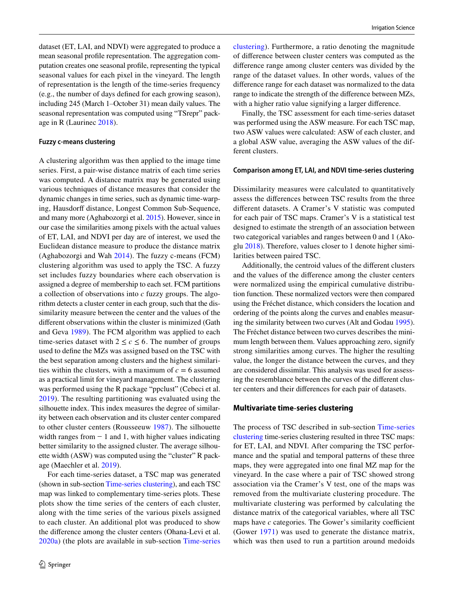dataset (ET, LAI, and NDVI) were aggregated to produce a mean seasonal profle representation. The aggregation computation creates one seasonal profle, representing the typical seasonal values for each pixel in the vineyard. The length of representation is the length of the time-series frequency (e.g., the number of days defned for each growing season), including 245 (March 1–October 31) mean daily values. The seasonal representation was computed using "TSrepr" package in R (Laurinec [2018\)](#page-13-25).

#### **Fuzzy c‑means clustering**

A clustering algorithm was then applied to the image time series. First, a pair-wise distance matrix of each time series was computed. A distance matrix may be generated using various techniques of distance measures that consider the dynamic changes in time series, such as dynamic time-warping, Hausdorff distance, Longest Common Sub-Sequence, and many more (Aghabozorgi et al. [2015](#page-11-3)). However, since in our case the similarities among pixels with the actual values of ET, LAI, and NDVI per day are of interest, we used the Euclidean distance measure to produce the distance matrix (Aghabozorgi and Wah [2014](#page-11-7)). The fuzzy c-means (FCM) clustering algorithm was used to apply the TSC. A fuzzy set includes fuzzy boundaries where each observation is assigned a degree of membership to each set. FCM partitions a collection of observations into *c* fuzzy groups. The algorithm detects a cluster center in each group, such that the dissimilarity measure between the center and the values of the diferent observations within the cluster is minimized (Gath and Geva [1989](#page-12-25)). The FCM algorithm was applied to each time-series dataset with  $2 \leq c \leq 6$ . The number of groups used to defne the MZs was assigned based on the TSC with the best separation among clusters and the highest similarities within the clusters, with a maximum of  $c = 6$  assumed as a practical limit for vineyard management. The clustering was performed using the R package "ppclust" (Cebeci et al. [2019\)](#page-12-26). The resulting partitioning was evaluated using the silhouette index. This index measures the degree of similarity between each observation and its cluster center compared to other cluster centers (Rousseeuw [1987\)](#page-13-26). The silhouette width ranges from  $-1$  and 1, with higher values indicating better similarity to the assigned cluster. The average silhouette width (ASW) was computed using the "cluster" R package (Maechler et al. [2019](#page-13-27)).

For each time-series dataset, a TSC map was generated (shown in sub-section [Time-series clustering\)](#page-6-0), and each TSC map was linked to complementary time-series plots. These plots show the time series of the centers of each cluster, along with the time series of the various pixels assigned to each cluster. An additional plot was produced to show the diference among the cluster centers (Ohana-Levi et al. [2020a](#page-13-1)) (the plots are available in sub-section [Time-series](#page-6-0) [clustering](#page-6-0)). Furthermore, a ratio denoting the magnitude of diference between cluster centers was computed as the diference range among cluster centers was divided by the range of the dataset values. In other words, values of the diference range for each dataset was normalized to the data range to indicate the strength of the diference between MZs, with a higher ratio value signifying a larger difference.

Finally, the TSC assessment for each time-series dataset was performed using the ASW measure. For each TSC map, two ASW values were calculated: ASW of each cluster, and a global ASW value, averaging the ASW values of the different clusters.

#### **Comparison among ET, LAI, and NDVI time‑series clustering**

Dissimilarity measures were calculated to quantitatively assess the diferences between TSC results from the three diferent datasets. A Cramer's V statistic was computed for each pair of TSC maps. Cramer's V is a statistical test designed to estimate the strength of an association between two categorical variables and ranges between 0 and 1 (Akoglu [2018\)](#page-11-8). Therefore, values closer to 1 denote higher similarities between paired TSC.

Additionally, the centroid values of the diferent clusters and the values of the diference among the cluster centers were normalized using the empirical cumulative distribution function. These normalized vectors were then compared using the Fréchet distance, which considers the location and ordering of the points along the curves and enables measuring the similarity between two curves (Alt and Godau [1995](#page-11-9)). The Fréchet distance between two curves describes the minimum length between them. Values approaching zero, signify strong similarities among curves. The higher the resulting value, the longer the distance between the curves, and they are considered dissimilar. This analysis was used for assessing the resemblance between the curves of the diferent cluster centers and their diferences for each pair of datasets.

#### **Multivariate time**‑**series clustering**

The process of TSC described in sub-section [Time-series](#page-4-0) [clustering](#page-4-0) time-series clustering resulted in three TSC maps: for ET, LAI, and NDVI. After comparing the TSC performance and the spatial and temporal patterns of these three maps, they were aggregated into one fnal MZ map for the vineyard. In the case where a pair of TSC showed strong association via the Cramer's V test, one of the maps was removed from the multivariate clustering procedure. The multivariate clustering was performed by calculating the distance matrix of the categorical variables, where all TSC maps have *c* categories. The Gower's similarity coefficient (Gower [1971\)](#page-12-27) was used to generate the distance matrix, which was then used to run a partition around medoids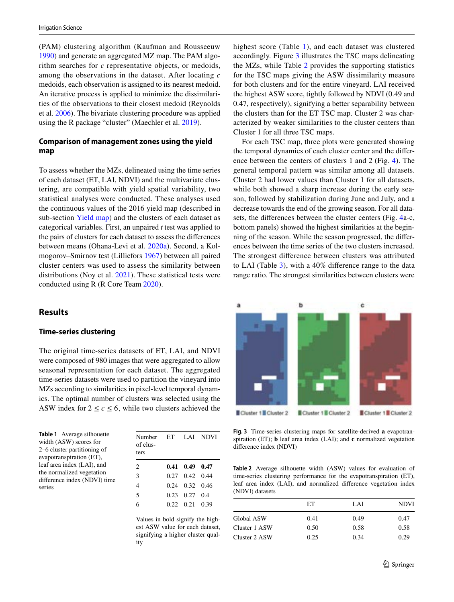(PAM) clustering algorithm (Kaufman and Rousseeuw [1990](#page-12-28)) and generate an aggregated MZ map. The PAM algorithm searches for *c* representative objects, or medoids, among the observations in the dataset. After locating *c* medoids, each observation is assigned to its nearest medoid. An iterative process is applied to minimize the dissimilarities of the observations to their closest medoid (Reynolds et al. [2006\)](#page-13-28). The bivariate clustering procedure was applied using the R package "cluster" (Maechler et al. [2019\)](#page-13-27).

# **Comparison of management zones using the yield map**

To assess whether the MZs, delineated using the time series of each dataset (ET, LAI, NDVI) and the multivariate clustering, are compatible with yield spatial variability, two statistical analyses were conducted. These analyses used the continuous values of the 2016 yield map (described in sub-section [Yield map](#page-4-1)) and the clusters of each dataset as categorical variables. First, an unpaired *t* test was applied to the pairs of clusters for each dataset to assess the diferences between means (Ohana-Levi et al. [2020a\)](#page-13-1). Second, a Kolmogorov–Smirnov test (Lilliefors [1967\)](#page-13-29) between all paired cluster centers was used to assess the similarity between distributions (Noy et al. [2021](#page-13-30)). These statistical tests were conducted using R (R Core Team [2020](#page-13-31)).

# **Results**

### <span id="page-6-0"></span>**Time**‑**series clustering**

The original time-series datasets of ET, LAI, and NDVI were composed of 980 images that were aggregated to allow seasonal representation for each dataset. The aggregated time-series datasets were used to partition the vineyard into MZs according to similarities in pixel-level temporal dynamics. The optimal number of clusters was selected using the ASW index for  $2 \leq c \leq 6$ , while two clusters achieved the

<span id="page-6-1"></span>**Table 1** Average silhouette width (ASW) scores for 2–6 cluster partitioning of evapotranspiration (ET), leaf area index (LAI), and the normalized vegetation diference index (NDVI) time series

| Number ET LAI NDVI<br>of clus-<br>ters |                      |  |
|----------------------------------------|----------------------|--|
| $\overline{c}$                         | $0.41$ $0.49$ $0.47$ |  |
| 3                                      | 0.27 0.42 0.44       |  |
| $\overline{4}$                         | $0.24$ $0.32$ $0.46$ |  |
| 5                                      | 0.23 0.27 0.4        |  |
| 6                                      | $0.22$ $0.21$ $0.39$ |  |

Values in bold signify the highest ASW value for each dataset, signifying a higher cluster quality

highest score (Table [1](#page-6-1)), and each dataset was clustered accordingly. Figure [3](#page-6-2) illustrates the TSC maps delineating the MZs, while Table [2](#page-6-3) provides the supporting statistics for the TSC maps giving the ASW dissimilarity measure for both clusters and for the entire vineyard. LAI received the highest ASW score, tightly followed by NDVI (0.49 and 0.47, respectively), signifying a better separability between the clusters than for the ET TSC map. Cluster 2 was characterized by weaker similarities to the cluster centers than Cluster 1 for all three TSC maps.

For each TSC map, three plots were generated showing the temporal dynamics of each cluster center and the diference between the centers of clusters 1 and 2 (Fig. [4](#page-7-0)). The general temporal pattern was similar among all datasets. Cluster 2 had lower values than Cluster 1 for all datasets, while both showed a sharp increase during the early season, followed by stabilization during June and July, and a decrease towards the end of the growing season. For all datasets, the diferences between the cluster centers (Fig. [4](#page-7-0)a-c, bottom panels) showed the highest similarities at the beginning of the season. While the season progressed, the diferences between the time series of the two clusters increased. The strongest diference between clusters was attributed to LAI (Table [3\)](#page-7-1), with a 40% diference range to the data range ratio. The strongest similarities between clusters were



<span id="page-6-2"></span>**Fig. 3** Time-series clustering maps for satellite-derived **a** evapotranspiration (ET); **b** leaf area index (LAI); and **c** normalized vegetation diference index (NDVI)

<span id="page-6-3"></span>**Table 2** Average silhouette width (ASW) values for evaluation of time-series clustering performance for the evapotranspiration (ET), leaf area index (LAI), and normalized diference vegetation index (NDVI) datasets

|                   | EТ   | LAI  | <b>NDVI</b> |
|-------------------|------|------|-------------|
| <b>Global ASW</b> | 0.41 | 0.49 | 0.47        |
| Cluster 1 ASW     | 0.50 | 0.58 | 0.58        |
| Cluster 2 ASW     | 0.25 | 0.34 | 0.29        |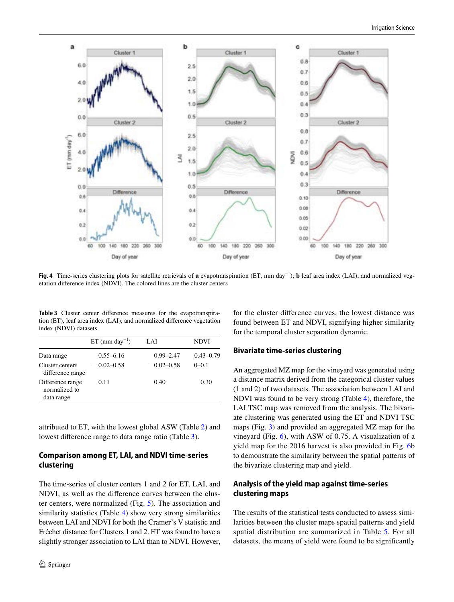

<span id="page-7-0"></span>**Fig. 4** Time-series clustering plots for satellite retrievals of **a** evapotranspiration (ET, mm day−<sup>1</sup> ); **b** leaf area index (LAI); and normalized vegetation diference index (NDVI). The colored lines are the cluster centers

<span id="page-7-1"></span>**Table 3** Cluster center diference measures for the evapotranspiration (ET), leaf area index (LAI), and normalized diference vegetation index (NDVI) datasets

|                                                 | $ET$ (mm day <sup>-1</sup> ) | LAI            | <b>NDVI</b>   |
|-------------------------------------------------|------------------------------|----------------|---------------|
| Data range                                      | $0.55 - 6.16$                | $0.99 - 2.47$  | $0.43 - 0.79$ |
| Cluster centers<br>difference range             | $-0.02 - 0.58$               | $-0.02 - 0.58$ | $0 - 0.1$     |
| Difference range<br>normalized to<br>data range | 0.11                         | 0.40           | 0.30          |

attributed to ET, with the lowest global ASW (Table [2\)](#page-6-3) and lowest diference range to data range ratio (Table [3\)](#page-7-1).

# **Comparison among ET, LAI, and NDVI time**‑**series clustering**

The time-series of cluster centers 1 and 2 for ET, LAI, and NDVI, as well as the diference curves between the cluster centers, were normalized (Fig. [5](#page-8-0)). The association and similarity statistics (Table [4\)](#page-8-1) show very strong similarities between LAI and NDVI for both the Cramer's V statistic and Fréchet distance for Clusters 1 and 2. ET was found to have a slightly stronger association to LAI than to NDVI. However, for the cluster diference curves, the lowest distance was found between ET and NDVI, signifying higher similarity for the temporal cluster separation dynamic.

# **Bivariate time**‑**series clustering**

An aggregated MZ map for the vineyard was generated using a distance matrix derived from the categorical cluster values (1 and 2) of two datasets. The association between LAI and NDVI was found to be very strong (Table [4\)](#page-8-1), therefore, the LAI TSC map was removed from the analysis. The bivariate clustering was generated using the ET and NDVI TSC maps (Fig. [3\)](#page-6-2) and provided an aggregated MZ map for the vineyard (Fig. [6](#page-8-2)), with ASW of 0.75. A visualization of a yield map for the 2016 harvest is also provided in Fig. [6](#page-8-2)b to demonstrate the similarity between the spatial patterns of the bivariate clustering map and yield.

# **Analysis of the yield map against time**‑**series clustering maps**

The results of the statistical tests conducted to assess similarities between the cluster maps spatial patterns and yield spatial distribution are summarized in Table [5](#page-9-0). For all datasets, the means of yield were found to be signifcantly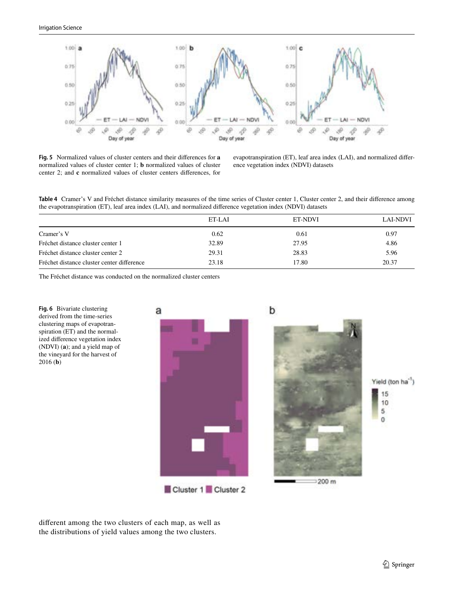

<span id="page-8-0"></span>**Fig. 5** Normalized values of cluster centers and their diferences for **a** normalized values of cluster center 1; **b** normalized values of cluster center 2; and **c** normalized values of cluster centers diferences, for

evapotranspiration (ET), leaf area index (LAI), and normalized diference vegetation index (NDVI) datasets

<span id="page-8-1"></span>**Table 4** Cramer's V and Fréchet distance similarity measures of the time series of Cluster center 1, Cluster center 2, and their diference among the evapotranspiration (ET), leaf area index (LAI), and normalized diference vegetation index (NDVI) datasets

|                                            | ET-LAI | ET-NDVI | LAI-NDVI |
|--------------------------------------------|--------|---------|----------|
| Cramer's V                                 | 0.62   | 0.61    | 0.97     |
| Fréchet distance cluster center 1          | 32.89  | 27.95   | 4.86     |
| Fréchet distance cluster center 2          | 29.31  | 28.83   | 5.96     |
| Fréchet distance cluster center difference | 23.18  | 17.80   | 20.37    |

The Fréchet distance was conducted on the normalized cluster centers

<span id="page-8-2"></span>



diferent among the two clusters of each map, as well as the distributions of yield values among the two clusters.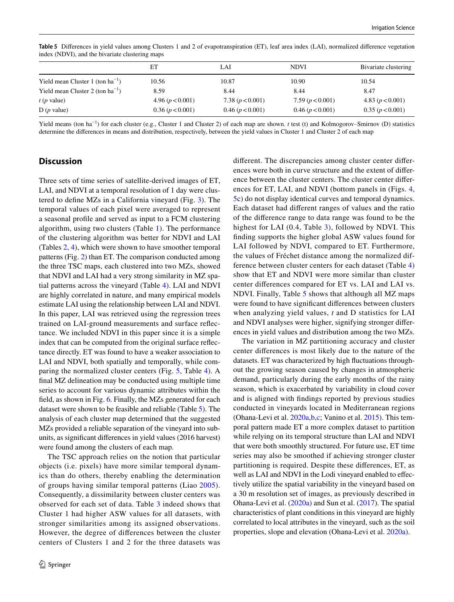| index (NDVI), and the bivariate clustering maps |                    |                    |                    |                      |
|-------------------------------------------------|--------------------|--------------------|--------------------|----------------------|
|                                                 | EΤ                 | LAI                | <b>NDVI</b>        | Bivariate clustering |
| Yield mean Cluster 1 (ton $ha^{-1}$ )           | 10.56              | 10.87              | 10.90              | 10.54                |
| Yield mean Cluster 2 (ton $ha^{-1}$ )           | 8.59               | 8.44               | 8.44               | 8.47                 |
| $t$ ( <i>p</i> value)                           | 4.96 $(p < 0.001)$ | 7.38 $(p < 0.001)$ | 7.59 $(p < 0.001)$ | 4.83 $(p < 0.001)$   |
| $D(p$ value)                                    | 0.36 (p < 0.001)   | 0.46 (p < 0.001)   | 0.46 (p < 0.001)   | 0.35 (p < 0.001)     |

<span id="page-9-0"></span>**Table 5** Diferences in yield values among Clusters 1 and 2 of evapotranspiration (ET), leaf area index (LAI), normalized diference vegetation

Yield means (ton ha−<sup>1</sup> ) for each cluster (e.g., Cluster 1 and Cluster 2) of each map are shown. *t* test (t) and Kolmogorov–Smirnov (D) statistics determine the diferences in means and distribution, respectively, between the yield values in Cluster 1 and Cluster 2 of each map

# **Discussion**

Three sets of time series of satellite-derived images of ET, LAI, and NDVI at a temporal resolution of 1 day were clustered to defne MZs in a California vineyard (Fig. [3](#page-6-2)). The temporal values of each pixel were averaged to represent a seasonal profle and served as input to a FCM clustering algorithm, using two clusters (Table [1](#page-6-1)). The performance of the clustering algorithm was better for NDVI and LAI (Tables [2](#page-6-3), [4](#page-8-1)), which were shown to have smoother temporal patterns (Fig. [2](#page-3-1)) than ET. The comparison conducted among the three TSC maps, each clustered into two MZs, showed that NDVI and LAI had a very strong similarity in MZ spatial patterns across the vineyard (Table [4](#page-8-1)). LAI and NDVI are highly correlated in nature, and many empirical models estimate LAI using the relationship between LAI and NDVI. In this paper, LAI was retrieved using the regression trees trained on LAI-ground measurements and surface refectance. We included NDVI in this paper since it is a simple index that can be computed from the original surface refectance directly. ET was found to have a weaker association to LAI and NDVI, both spatially and temporally, while comparing the normalized cluster centers (Fig. [5](#page-8-0), Table [4\)](#page-8-1). A fnal MZ delineation may be conducted using multiple time series to account for various dynamic attributes within the feld, as shown in Fig. [6.](#page-8-2) Finally, the MZs generated for each dataset were shown to be feasible and reliable (Table [5\)](#page-9-0). The analysis of each cluster map determined that the suggested MZs provided a reliable separation of the vineyard into subunits, as signifcant diferences in yield values (2016 harvest) were found among the clusters of each map.

The TSC approach relies on the notion that particular objects (i.e. pixels) have more similar temporal dynamics than do others, thereby enabling the determination of groups having similar temporal patterns (Liao [2005\)](#page-13-32). Consequently, a dissimilarity between cluster centers was observed for each set of data. Table [3](#page-7-1) indeed shows that Cluster 1 had higher ASW values for all datasets, with stronger similarities among its assigned observations. However, the degree of diferences between the cluster centers of Clusters 1 and 2 for the three datasets was

diferent. The discrepancies among cluster center diferences were both in curve structure and the extent of diference between the cluster centers. The cluster center diferences for ET, LAI, and NDVI (bottom panels in (Figs. [4,](#page-7-0) [5](#page-8-0)c) do not display identical curves and temporal dynamics. Each dataset had diferent ranges of values and the ratio of the diference range to data range was found to be the highest for LAI (0.4, Table [3\)](#page-7-1), followed by NDVI. This fnding supports the higher global ASW values found for LAI followed by NDVI, compared to ET. Furthermore, the values of Fréchet distance among the normalized difference between cluster centers for each dataset (Table [4\)](#page-8-1) show that ET and NDVI were more similar than cluster center diferences compared for ET vs. LAI and LAI vs. NDVI. Finally, Table [5](#page-9-0) shows that although all MZ maps were found to have signifcant diferences between clusters when analyzing yield values, *t* and D statistics for LAI and NDVI analyses were higher, signifying stronger diferences in yield values and distribution among the two MZs.

The variation in MZ partitioning accuracy and cluster center diferences is most likely due to the nature of the datasets. ET was characterized by high fuctuations throughout the growing season caused by changes in atmospheric demand, particularly during the early months of the rainy season, which is exacerbated by variability in cloud cover and is aligned with fndings reported by previous studies conducted in vineyards located in Mediterranean regions (Ohana-Levi et al. [2020a](#page-13-1)[,b](#page-13-8),[c](#page-13-9); Vanino et al. [2015\)](#page-14-6). This temporal pattern made ET a more complex dataset to partition while relying on its temporal structure than LAI and NDVI that were both smoothly structured. For future use, ET time series may also be smoothed if achieving stronger cluster partitioning is required. Despite these diferences, ET, as well as LAI and NDVI in the Lodi vineyard enabled to efectively utilize the spatial variability in the vineyard based on a 30 m resolution set of images, as previously described in Ohana-Levi et al. [\(2020a](#page-13-1)) and Sun et al. ([2017\)](#page-14-2). The spatial characteristics of plant conditions in this vineyard are highly correlated to local attributes in the vineyard, such as the soil properties, slope and elevation (Ohana-Levi et al. [2020a](#page-13-1)).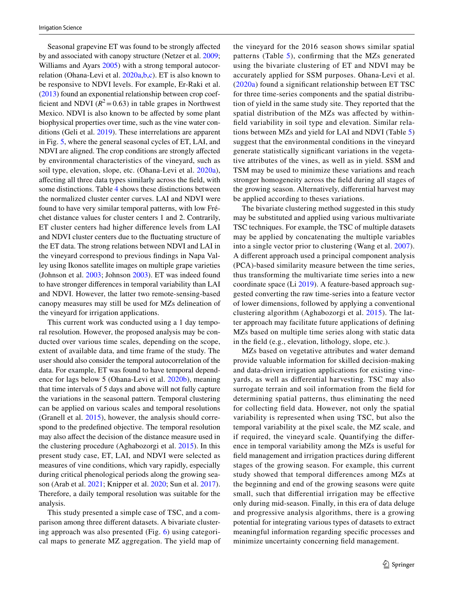Seasonal grapevine ET was found to be strongly afected by and associated with canopy structure (Netzer et al. [2009](#page-13-15); Williams and Ayars [2005\)](#page-14-12) with a strong temporal autocorrelation (Ohana-Levi et al. [2020a](#page-13-1),[b,](#page-13-8)[c](#page-13-9)). ET is also known to be responsive to NDVI levels. For example, Er-Raki et al. [\(2013](#page-12-11)) found an exponential relationship between crop coefficient and NDVI ( $R^2$ =0.63) in table grapes in Northwest Mexico. NDVI is also known to be afected by some plant biophysical properties over time, such as the vine water conditions (Geli et al. [2019](#page-12-29)). These interrelations are apparent in Fig. [5](#page-8-0), where the general seasonal cycles of ET, LAI, and NDVI are aligned. The crop conditions are strongly afected by environmental characteristics of the vineyard, such as soil type, elevation, slope, etc. (Ohana-Levi et al. [2020a](#page-13-1)), afecting all three data types similarly across the feld, with some distinctions. Table [4](#page-8-1) shows these distinctions between the normalized cluster center curves. LAI and NDVI were found to have very similar temporal patterns, with low Fréchet distance values for cluster centers 1 and 2. Contrarily, ET cluster centers had higher diference levels from LAI and NDVI cluster centers due to the fuctuating structure of the ET data. The strong relations between NDVI and LAI in the vineyard correspond to previous fndings in Napa Valley using Ikonos satellite images on multiple grape varieties (Johnson et al. [2003;](#page-12-6) Johnson [2003](#page-12-30)). ET was indeed found to have stronger diferences in temporal variability than LAI and NDVI. However, the latter two remote-sensing-based canopy measures may still be used for MZs delineation of the vineyard for irrigation applications.

This current work was conducted using a 1 day temporal resolution. However, the proposed analysis may be conducted over various time scales, depending on the scope, extent of available data, and time frame of the study. The user should also consider the temporal autocorrelation of the data. For example, ET was found to have temporal dependence for lags below 5 (Ohana-Levi et al. [2020b](#page-13-8)), meaning that time intervals of 5 days and above will not fully capture the variations in the seasonal pattern. Temporal clustering can be applied on various scales and temporal resolutions (Granell et al. [2015\)](#page-12-31), however, the analysis should correspond to the predefned objective. The temporal resolution may also afect the decision of the distance measure used in the clustering procedure (Aghabozorgi et al. [2015](#page-11-3)). In this present study case, ET, LAI, and NDVI were selected as measures of vine conditions, which vary rapidly, especially during critical phenological periods along the growing season (Arab et al. [2021](#page-11-1); Knipper et al. [2020;](#page-12-20) Sun et al. [2017](#page-14-2)). Therefore, a daily temporal resolution was suitable for the analysis.

This study presented a simple case of TSC, and a comparison among three diferent datasets. A bivariate clustering approach was also presented (Fig. [6](#page-8-2)) using categorical maps to generate MZ aggregation. The yield map of the vineyard for the 2016 season shows similar spatial patterns (Table [5](#page-9-0)), confrming that the MZs generated using the bivariate clustering of ET and NDVI may be accurately applied for SSM purposes. Ohana-Levi et al. ([2020a](#page-13-1)) found a signifcant relationship between ET TSC for three time-series components and the spatial distribution of yield in the same study site. They reported that the spatial distribution of the MZs was afected by withinfeld variability in soil type and elevation. Similar relations between MZs and yield for LAI and NDVI (Table [5\)](#page-9-0) suggest that the environmental conditions in the vineyard generate statistically signifcant variations in the vegetative attributes of the vines, as well as in yield. SSM and TSM may be used to minimize these variations and reach stronger homogeneity across the feld during all stages of the growing season. Alternatively, diferential harvest may be applied according to theses variations.

The bivariate clustering method suggested in this study may be substituted and applied using various multivariate TSC techniques. For example, the TSC of multiple datasets may be applied by concatenating the multiple variables into a single vector prior to clustering (Wang et al. [2007](#page-14-13)). A diferent approach used a principal component analysis (PCA)-based similarity measure between the time series, thus transforming the multivariate time series into a new coordinate space (Li [2019](#page-13-33)). A feature-based approach suggested converting the raw time-series into a feature vector of lower dimensions, followed by applying a conventional clustering algorithm (Aghabozorgi et al. [2015\)](#page-11-3). The latter approach may facilitate future applications of defning MZs based on multiple time series along with static data in the feld (e.g., elevation, lithology, slope, etc.).

MZs based on vegetative attributes and water demand provide valuable information for skilled decision-making and data-driven irrigation applications for existing vineyards, as well as diferential harvesting. TSC may also surrogate terrain and soil information from the feld for determining spatial patterns, thus eliminating the need for collecting feld data. However, not only the spatial variability is represented when using TSC, but also the temporal variability at the pixel scale, the MZ scale, and if required, the vineyard scale. Quantifying the diference in temporal variability among the MZs is useful for feld management and irrigation practices during diferent stages of the growing season. For example, this current study showed that temporal diferences among MZs at the beginning and end of the growing seasons were quite small, such that diferential irrigation may be efective only during mid-season. Finally, in this era of data deluge and progressive analysis algorithms, there is a growing potential for integrating various types of datasets to extract meaningful information regarding specifc processes and minimize uncertainty concerning feld management.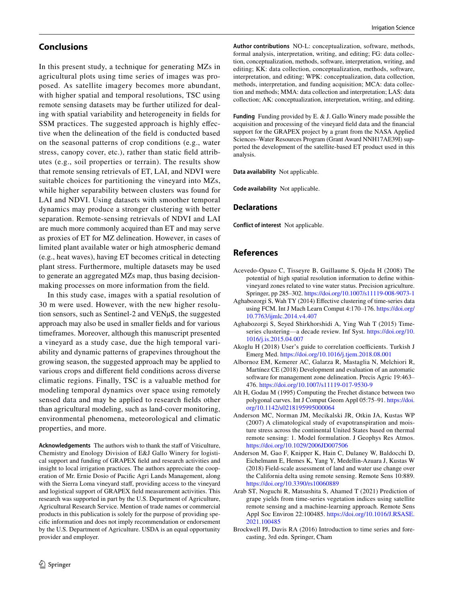# **Conclusions**

In this present study, a technique for generating MZs in agricultural plots using time series of images was proposed. As satellite imagery becomes more abundant, with higher spatial and temporal resolutions, TSC using remote sensing datasets may be further utilized for dealing with spatial variability and heterogeneity in felds for SSM practices. The suggested approach is highly effective when the delineation of the feld is conducted based on the seasonal patterns of crop conditions (e.g., water stress, canopy cover, etc.), rather than static feld attributes (e.g., soil properties or terrain). The results show that remote sensing retrievals of ET, LAI, and NDVI were suitable choices for partitioning the vineyard into MZs, while higher separability between clusters was found for LAI and NDVI. Using datasets with smoother temporal dynamics may produce a stronger clustering with better separation. Remote-sensing retrievals of NDVI and LAI are much more commonly acquired than ET and may serve as proxies of ET for MZ delineation. However, in cases of limited plant available water or high atmospheric demand (e.g., heat waves), having ET becomes critical in detecting plant stress. Furthermore, multiple datasets may be used to generate an aggregated MZs map, thus basing decisionmaking processes on more information from the feld.

In this study case, images with a spatial resolution of 30 m were used. However, with the new higher resolution sensors, such as Sentinel-2 and VENµS, the suggested approach may also be used in smaller felds and for various timeframes. Moreover, although this manuscript presented a vineyard as a study case, due the high temporal variability and dynamic patterns of grapevines throughout the growing season, the suggested approach may be applied to various crops and diferent feld conditions across diverse climatic regions. Finally, TSC is a valuable method for modeling temporal dynamics over space using remotely sensed data and may be applied to research felds other than agricultural modeling, such as land-cover monitoring, environmental phenomena, meteorological and climatic properties, and more.

Acknowledgements The authors wish to thank the staff of Viticulture, Chemistry and Enology Division of E&J Gallo Winery for logistical support and funding of GRAPEX feld and research activities and insight to local irrigation practices. The authors appreciate the cooperation of Mr. Ernie Dosio of Pacifc Agri Lands Management, along with the Sierra Loma vineyard staff, providing access to the vineyard and logistical support of GRAPEX feld measurement activities. This research was supported in part by the U.S. Department of Agriculture, Agricultural Research Service. Mention of trade names or commercial products in this publication is solely for the purpose of providing specifc information and does not imply recommendation or endorsement by the U.S. Department of Agriculture. USDA is an equal opportunity provider and employer.

**Author contributions** NO-L: conceptualization, software, methods, formal analysis, interpretation, writing, and editing; FG: data collection, conceptualization, methods, software, interpretation, writing, and editing; KK: data collection, conceptualization, methods, software, interpretation, and editing; WPK: conceptualization, data collection, methods, interpretation, and funding acquisition; MCA: data collection and methods; MMA: data collection and interpretation; LAS: data collection; AK: conceptualization, interpretation, writing, and editing.

**Funding** Funding provided by E. & J. Gallo Winery made possible the acquisition and processing of the vineyard feld data and the fnancial support for the GRAPEX project by a grant from the NASA Applied Sciences–Water Resources Program (Grant Award NNH17AE39I) supported the development of the satellite-based ET product used in this analysis.

**Data availability** Not applicable.

**Code availability** Not applicable.

### **Declarations**

**Conflict of interest** Not applicable.

## **References**

- <span id="page-11-2"></span>Acevedo-Opazo C, Tisseyre B, Guillaume S, Ojeda H (2008) The potential of high spatial resolution information to defne withinvineyard zones related to vine water status. Precision agriculture. Springer, pp 285–302.<https://doi.org/10.1007/s11119-008-9073-1>
- <span id="page-11-7"></span>Aghabozorgi S, Wah TY (2014) Efective clustering of time-series data using FCM. Int J Mach Learn Comput 4:170–176. [https://doi.org/](https://doi.org/10.7763/ijmlc.2014.v4.407) [10.7763/ijmlc.2014.v4.407](https://doi.org/10.7763/ijmlc.2014.v4.407)
- <span id="page-11-3"></span>Aghabozorgi S, Seyed Shirkhorshidi A, Ying Wah T (2015) Timeseries clustering—a decade review. Inf Syst. [https://doi.org/10.](https://doi.org/10.1016/j.is.2015.04.007) [1016/j.is.2015.04.007](https://doi.org/10.1016/j.is.2015.04.007)
- <span id="page-11-8"></span>Akoglu H (2018) User's guide to correlation coefficients. Turkish J Emerg Med. <https://doi.org/10.1016/j.tjem.2018.08.001>
- <span id="page-11-0"></span>Albornoz EM, Kemerer AC, Galarza R, Mastaglia N, Melchiori R, Martínez CE (2018) Development and evaluation of an automatic software for management zone delineation. Precis Agric 19:463– 476.<https://doi.org/10.1007/s11119-017-9530-9>
- <span id="page-11-9"></span>Alt H, Godau M (1995) Computing the Frechet distance between two polygonal curves. Int J Comput Geom Appl 05:75–91. [https://doi.](https://doi.org/10.1142/s0218195995000064) [org/10.1142/s0218195995000064](https://doi.org/10.1142/s0218195995000064)
- <span id="page-11-4"></span>Anderson MC, Norman JM, Mecikalski JR, Otkin JA, Kustas WP (2007) A climatological study of evapotranspiration and moisture stress across the continental United States based on thermal remote sensing: 1. Model formulation. J Geophys Res Atmos. <https://doi.org/10.1029/2006JD007506>
- <span id="page-11-5"></span>Anderson M, Gao F, Knipper K, Hain C, Dulaney W, Baldocchi D, Eichelmann E, Hemes K, Yang Y, Medellin-Azuara J, Kustas W (2018) Field-scale assessment of land and water use change over the California delta using remote sensing. Remote Sens 10:889. <https://doi.org/10.3390/rs10060889>
- <span id="page-11-1"></span>Arab ST, Noguchi R, Matsushita S, Ahamed T (2021) Prediction of grape yields from time-series vegetation indices using satellite remote sensing and a machine-learning approach. Remote Sens Appl Soc Environ 22:100485. [https://doi.org/10.1016/J.RSASE.](https://doi.org/10.1016/J.RSASE.2021.100485) [2021.100485](https://doi.org/10.1016/J.RSASE.2021.100485)
- <span id="page-11-6"></span>Brockwell PJ, Davis RA (2016) Introduction to time series and forecasting, 3rd edn. Springer, Cham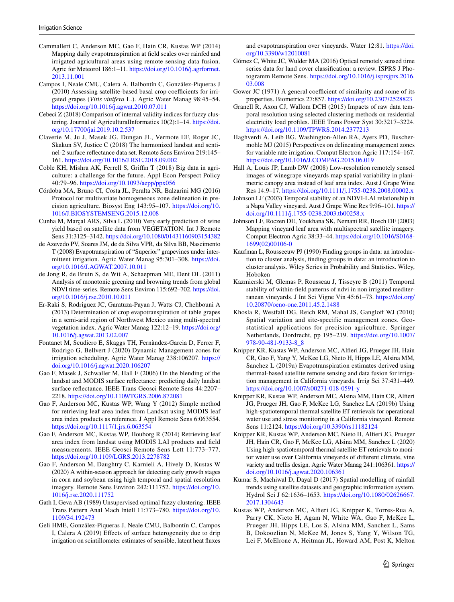- <span id="page-12-19"></span>Cammalleri C, Anderson MC, Gao F, Hain CR, Kustas WP (2014) Mapping daily evapotranspiration at feld scales over rainfed and irrigated agricultural areas using remote sensing data fusion. Agric for Meteorol 186:1–11. [https://doi.org/10.1016/j.agrformet.](https://doi.org/10.1016/j.agrformet.2013.11.001) [2013.11.001](https://doi.org/10.1016/j.agrformet.2013.11.001)
- <span id="page-12-10"></span>Campos I, Neale CMU, Calera A, Balbontín C, González-Piqueras J (2010) Assessing satellite-based basal crop coefficients for irrigated grapes (*Vitis vinifera* L.). Agric Water Manag 98:45–54. <https://doi.org/10.1016/j.agwat.2010.07.011>
- <span id="page-12-26"></span>Cebeci Z (2018) Comparison of internal validity indices for fuzzy clustering. Journal of AgriculturalInformatics 10(2):1–14. [https://doi.](https://doi.org/10.17700/jai.2019.10.2.537) [org/10.17700/jai.2019.10.2.537](https://doi.org/10.17700/jai.2019.10.2.537)
- <span id="page-12-21"></span>Claverie M, Ju J, Masek JG, Dungan JL, Vermote EF, Roger JC, Skakun SV, Justice C (2018) The harmonized landsat and sentinel-2 surface refectance data set. Remote Sens Environ 219:145– 161.<https://doi.org/10.1016/J.RSE.2018.09.002>
- <span id="page-12-0"></span>Coble KH, Mishra AK, Ferrell S, Griffin T (2018) Big data in agriculture: a challenge for the future. Appl Econ Perspect Policy 40:79–96. <https://doi.org/10.1093/aepp/ppx056>
- <span id="page-12-1"></span>Córdoba MA, Bruno CI, Costa JL, Peralta NR, Balzarini MG (2016) Protocol for multivariate homogeneous zone delineation in precision agriculture. Biosyst Eng 143:95–107. [https://doi.org/10.](https://doi.org/10.1016/J.BIOSYSTEMSENG.2015.12.008) [1016/J.BIOSYSTEMSENG.2015.12.008](https://doi.org/10.1016/J.BIOSYSTEMSENG.2015.12.008)
- <span id="page-12-8"></span>Cunha M, Marçal ARS, Silva L (2010) Very early prediction of wine yield based on satellite data from VEGETATION. Int J Remote Sens 31:3125–3142. <https://doi.org/10.1080/01431160903154382>
- <span id="page-12-12"></span>de Azevedo PV, Soares JM, de da Silva VPR, da Silva BB, Nascimento T (2008) Evapotranspiration of "Superior" grapevines under intermittent irrigation. Agric Water Manag 95:301–308. [https://doi.](https://doi.org/10.1016/J.AGWAT.2007.10.011) [org/10.1016/J.AGWAT.2007.10.011](https://doi.org/10.1016/J.AGWAT.2007.10.011)
- <span id="page-12-14"></span>de Jong R, de Bruin S, de Wit A, Schaepman ME, Dent DL (2011) Analysis of monotonic greening and browning trends from global NDVI time-series. Remote Sens Environ 115:692–702. [https://doi.](https://doi.org/10.1016/j.rse.2010.10.011) [org/10.1016/j.rse.2010.10.011](https://doi.org/10.1016/j.rse.2010.10.011)
- <span id="page-12-11"></span>Er-Raki S, Rodriguez JC, Garatuza-Payan J, Watts CJ, Chehbouni A (2013) Determination of crop evapotranspiration of table grapes in a semi-arid region of Northwest Mexico using multi-spectral vegetation index. Agric Water Manag 122:12–19. [https://doi.org/](https://doi.org/10.1016/j.agwat.2013.02.007) [10.1016/j.agwat.2013.02.007](https://doi.org/10.1016/j.agwat.2013.02.007)
- <span id="page-12-5"></span>Fontanet M, Scudiero E, Skaggs TH, Fernàndez-Garcia D, Ferrer F, Rodrigo G, Bellvert J (2020) Dynamic Management zones for irrigation scheduling. Agric Water Manag 238:106207. [https://](https://doi.org/10.1016/j.agwat.2020.106207) [doi.org/10.1016/j.agwat.2020.106207](https://doi.org/10.1016/j.agwat.2020.106207)
- <span id="page-12-18"></span>Gao F, Masek J, Schwaller M, Hall F (2006) On the blending of the landsat and MODIS surface refectance: predicting daily landsat surface refectance. IEEE Trans Geosci Remote Sens 44:2207– 2218.<https://doi.org/10.1109/TGRS.2006.872081>
- <span id="page-12-22"></span>Gao F, Anderson MC, Kustas WP, Wang Y (2012) Simple method for retrieving leaf area index from Landsat using MODIS leaf area index products as reference. J Appl Remote Sens 6:063554. <https://doi.org/10.1117/1.jrs.6.063554>
- <span id="page-12-23"></span>Gao F, Anderson MC, Kustas WP, Houborg R (2014) Retrieving leaf area index from landsat using MODIS LAI products and feld measurements. IEEE Geosci Remote Sens Lett 11:773–777. <https://doi.org/10.1109/LGRS.2013.2278782>
- <span id="page-12-24"></span>Gao F, Anderson M, Daughtry C, Karnieli A, Hively D, Kustas W (2020) A within-season approach for detecting early growth stages in corn and soybean using high temporal and spatial resolution imagery. Remote Sens Environ 242:111752. [https://doi.org/10.](https://doi.org/10.1016/j.rse.2020.111752) [1016/j.rse.2020.111752](https://doi.org/10.1016/j.rse.2020.111752)
- <span id="page-12-25"></span>Gath I, Geva AB (1989) Unsupervised optimal fuzzy clustering. IEEE Trans Pattern Anal Mach Intell 11:773–780. [https://doi.org/10.](https://doi.org/10.1109/34.192473) [1109/34.192473](https://doi.org/10.1109/34.192473)
- <span id="page-12-29"></span>Geli HME, González-Piqueras J, Neale CMU, Balbontín C, Campos I, Calera A (2019) Efects of surface heterogeneity due to drip irrigation on scintillometer estimates of sensible, latent heat fuxes

and evapotranspiration over vineyards. Water 12:81. [https://doi.](https://doi.org/10.3390/w12010081) [org/10.3390/w12010081](https://doi.org/10.3390/w12010081)

- <span id="page-12-15"></span>Gómez C, White JC, Wulder MA (2016) Optical remotely sensed time series data for land cover classifcation: a review. ISPRS J Photogramm Remote Sens. [https://doi.org/10.1016/j.isprsjprs.2016.](https://doi.org/10.1016/j.isprsjprs.2016.03.008) [03.008](https://doi.org/10.1016/j.isprsjprs.2016.03.008)
- <span id="page-12-27"></span>Gower JC  $(1971)$  A general coefficient of similarity and some of its properties. Biometrics 27:857.<https://doi.org/10.2307/2528823>
- <span id="page-12-31"></span>Granell R, Axon CJ, Wallom DCH (2015) Impacts of raw data temporal resolution using selected clustering methods on residential electricity load profles. IEEE Trans Power Syst 30:3217–3224. <https://doi.org/10.1109/TPWRS.2014.2377213>
- <span id="page-12-2"></span>Haghverdi A, Leib BG, Washington-Allen RA, Ayers PD, Buschermohle MJ (2015) Perspectives on delineating management zones for variable rate irrigation. Comput Electron Agric 117:154–167. <https://doi.org/10.1016/J.COMPAG.2015.06.019>
- <span id="page-12-9"></span>Hall A, Louis JP, Lamb DW (2008) Low-resolution remotely sensed images of winegrape vineyards map spatial variability in planimetric canopy area instead of leaf area index. Aust J Grape Wine Res 14:9–17.<https://doi.org/10.1111/j.1755-0238.2008.00002.x>
- <span id="page-12-30"></span>Johnson LF (2003) Temporal stability of an NDVI-LAI relationship in a Napa Valley vineyard. Aust J Grape Wine Res 9:96–101. [https://](https://doi.org/10.1111/j.1755-0238.2003.tb00258.x) [doi.org/10.1111/j.1755-0238.2003.tb00258.x](https://doi.org/10.1111/j.1755-0238.2003.tb00258.x)
- <span id="page-12-6"></span>Johnson LF, Roczen DE, Youkhana SK, Nemani RR, Bosch DF (2003) Mapping vineyard leaf area with multispectral satellite imagery. Comput Electron Agric 38:33–44. [https://doi.org/10.1016/S0168-](https://doi.org/10.1016/S0168-1699(02)00106-0) [1699\(02\)00106-0](https://doi.org/10.1016/S0168-1699(02)00106-0)
- <span id="page-12-28"></span>Kaufman L, Rousseeuw PJ (1990) Finding groups in data: an introduction to cluster analysis, fnding groups in data: an introduction to cluster analysis. Wiley Series in Probability and Statistics. Wiley, Hoboken
- <span id="page-12-7"></span>Kazmierski M, Glemas P, Rousseau J, Tisseyre B (2011) Temporal stability of within-feld patterns of ndvi in non irrigated mediterranean vineyards. J Int Sci Vigne Vin 45:61–73. [https://doi.org/](https://doi.org/10.20870/oeno-one.2011.45.2.1488) [10.20870/oeno-one.2011.45.2.1488](https://doi.org/10.20870/oeno-one.2011.45.2.1488)
- <span id="page-12-17"></span>Khosla R, Westfall DG, Reich RM, Mahal JS, Ganglof WJ (2010) Spatial variation and site-specific management zones. Geostatistical applications for precision agriculture. Springer Netherlands, Dordrecht, pp 195–219. [https://doi.org/10.1007/](https://doi.org/10.1007/978-90-481-9133-8_8) [978-90-481-9133-8\\_8](https://doi.org/10.1007/978-90-481-9133-8_8)
- <span id="page-12-3"></span>Knipper KR, Kustas WP, Anderson MC, Alferi JG, Prueger JH, Hain CR, Gao F, Yang Y, McKee LG, Nieto H, Hipps LE, Alsina MM, Sanchez L (2019a) Evapotranspiration estimates derived using thermal-based satellite remote sensing and data fusion for irrigation management in California vineyards. Irrig Sci 37:431–449. <https://doi.org/10.1007/s00271-018-0591-y>
- <span id="page-12-4"></span>Knipper KR, Kustas WP, Anderson MC, Alsina MM, Hain CR, Alferi JG, Prueger JH, Gao F, McKee LG, Sanchez LA (2019b) Using high-spatiotemporal thermal satellite ET retrievals for operational water use and stress monitoring in a California vineyard. Remote Sens 11:2124. <https://doi.org/10.3390/rs11182124>
- <span id="page-12-20"></span>Knipper KR, Kustas WP, Anderson MC, Nieto H, Alferi JG, Prueger JH, Hain CR, Gao F, McKee LG, Alsina MM, Sanchez L (2020) Using high-spatiotemporal thermal satellite ET retrievals to monitor water use over California vineyards of diferent climate, vine variety and trellis design. Agric Water Manag 241:106361. [https://](https://doi.org/10.1016/j.agwat.2020.106361) [doi.org/10.1016/j.agwat.2020.106361](https://doi.org/10.1016/j.agwat.2020.106361)
- <span id="page-12-13"></span>Kumar S, Machiwal D, Dayal D (2017) Spatial modelling of rainfall trends using satellite datasets and geographic information system. Hydrol Sci J 62:1636–1653. [https://doi.org/10.1080/02626667.](https://doi.org/10.1080/02626667.2017.1304643) [2017.1304643](https://doi.org/10.1080/02626667.2017.1304643)
- <span id="page-12-16"></span>Kustas WP, Anderson MC, Alferi JG, Knipper K, Torres-Rua A, Parry CK, Nieto H, Agam N, White WA, Gao F, McKee L, Prueger JH, Hipps LE, Los S, Alsina MM, Sanchez L, Sams B, Dokoozlian N, McKee M, Jones S, Yang Y, Wilson TG, Lei F, McElrone A, Heitman JL, Howard AM, Post K, Melton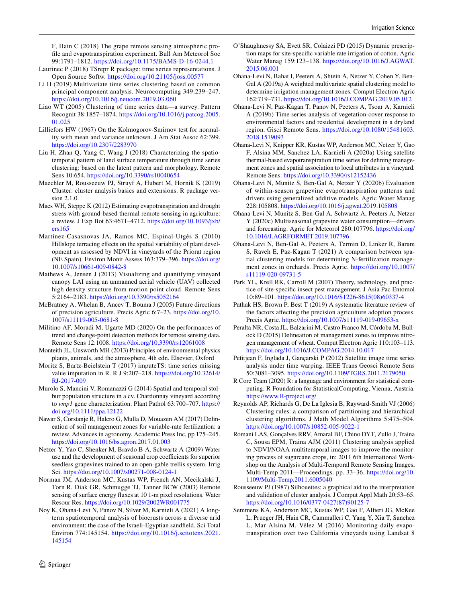F, Hain C (2018) The grape remote sensing atmospheric profle and evapotranspiration experiment. Bull Am Meteorol Soc 99:1791–1812. <https://doi.org/10.1175/BAMS-D-16-0244.1>

- <span id="page-13-25"></span>Laurinec P (2018) TSrepr R package: time series representations. J Open Source Softw.<https://doi.org/10.21105/joss.00577>
- <span id="page-13-33"></span>Li H (2019) Multivariate time series clustering based on common principal component analysis. Neurocomputing 349:239–247. <https://doi.org/10.1016/j.neucom.2019.03.060>
- <span id="page-13-32"></span>Liao WT (2005) Clustering of time series data—a survey. Pattern Recognit 38:1857–1874. [https://doi.org/10.1016/j.patcog.2005.](https://doi.org/10.1016/j.patcog.2005.01.025) [01.025](https://doi.org/10.1016/j.patcog.2005.01.025)
- <span id="page-13-29"></span>Lilliefors HW (1967) On the Kolmogorov-Smirnov test for normality with mean and variance unknown. J Am Stat Assoc 62:399. <https://doi.org/10.2307/2283970>
- <span id="page-13-20"></span>Liu H, Zhan Q, Yang C, Wang J (2018) Characterizing the spatiotemporal pattern of land surface temperature through time series clustering: based on the latent pattern and morphology. Remote Sens 10:654.<https://doi.org/10.3390/rs10040654>
- <span id="page-13-27"></span>Maechler M, Rousseeuw PJ, Struyf A, Hubert M, Hornik K (2019) Cluster: cluster analysis basics and extensions. R package version 2.1.0
- <span id="page-13-11"></span>Maes WH, Steppe K (2012) Estimating evapotranspiration and drought stress with ground-based thermal remote sensing in agriculture: a review. J Exp Bot 63:4671–4712. [https://doi.org/10.1093/jxb/](https://doi.org/10.1093/jxb/ers165) [ers165](https://doi.org/10.1093/jxb/ers165)
- <span id="page-13-16"></span>Martínez-Casasnovas JA, Ramos MC, Espinal-Utgés S (2010) Hillslope terracing efects on the spatial variability of plant development as assessed by NDVI in vineyards of the Priorat region (NE Spain). Environ Monit Assess 163:379–396. [https://doi.org/](https://doi.org/10.1007/s10661-009-0842-8) [10.1007/s10661-009-0842-8](https://doi.org/10.1007/s10661-009-0842-8)
- <span id="page-13-14"></span>Mathews A, Jensen J (2013) Visualizing and quantifying vineyard canopy LAI using an unmanned aerial vehicle (UAV) collected high density structure from motion point cloud. Remote Sens 5:2164–2183. <https://doi.org/10.3390/rs5052164>
- <span id="page-13-6"></span>McBratney A, Whelan B, Ancev T, Bouma J (2005) Future directions of precision agriculture. Precis Agric 6:7–23. [https://doi.org/10.](https://doi.org/10.1007/s11119-005-0681-8) [1007/s11119-005-0681-8](https://doi.org/10.1007/s11119-005-0681-8)
- <span id="page-13-18"></span>Militino AF, Moradi M, Ugarte MD (2020) On the performances of trend and change-point detection methods for remote sensing data. Remote Sens 12:1008.<https://doi.org/10.3390/rs12061008>
- <span id="page-13-13"></span>Monteith JL, Unsworth MH (2013) Principles of environmental physics plants, animals, and the atmosphere, 4th edn. Elsevier, Oxford
- <span id="page-13-24"></span>Moritz S, Bartz-Beielstein T (2017) imputeTS: time series missing value imputation in R. R J 9:207–218. [https://doi.org/10.32614/](https://doi.org/10.32614/RJ-2017-009) [RJ-2017-009](https://doi.org/10.32614/RJ-2017-009)
- <span id="page-13-22"></span>Murolo S, Mancini V, Romanazzi G (2014) Spatial and temporal stolbur population structure in a cv. Chardonnay vineyard according to *vmp1* gene characterization. Plant Pathol 63:700–707. [https://](https://doi.org/10.1111/ppa.12122) [doi.org/10.1111/ppa.12122](https://doi.org/10.1111/ppa.12122)
- <span id="page-13-3"></span>Nawar S, Corstanje R, Halcro G, Mulla D, Mouazen AM (2017) Delineation of soil management zones for variable-rate fertilization: a review. Advances in agronomy. Academic Press Inc, pp 175–245. <https://doi.org/10.1016/bs.agron.2017.01.003>
- <span id="page-13-15"></span>Netzer Y, Yao C, Shenker M, Bravdo B-A, Schwartz A (2009) Water use and the development of seasonal crop coefficients for superior seedless grapevines trained to an open-gable trellis system. Irrig Sci.<https://doi.org/10.1007/s00271-008-0124-1>
- <span id="page-13-23"></span>Norman JM, Anderson MC, Kustas WP, French AN, Mecikalski J, Torn R, Diak GR, Schmugge TJ, Tanner BCW (2003) Remote sensing of surface energy fuxes at 10 1-m pixel resolutions. Water Resour Res.<https://doi.org/10.1029/2002WR001775>
- <span id="page-13-30"></span>Noy K, Ohana-Levi N, Panov N, Silver M, Karnieli A (2021) A longterm spatiotemporal analysis of biocrusts across a diverse arid environment: the case of the Israeli-Egyptian sandfeld. Sci Total Environ 774:145154. [https://doi.org/10.1016/j.scitotenv.2021.](https://doi.org/10.1016/j.scitotenv.2021.145154) [145154](https://doi.org/10.1016/j.scitotenv.2021.145154)
- <span id="page-13-7"></span>O'Shaughnessy SA, Evett SR, Colaizzi PD (2015) Dynamic prescription maps for site-specifc variable rate irrigation of cotton. Agric Water Manag 159:123–138. [https://doi.org/10.1016/J.AGWAT.](https://doi.org/10.1016/J.AGWAT.2015.06.001) [2015.06.001](https://doi.org/10.1016/J.AGWAT.2015.06.001)
- <span id="page-13-2"></span>Ohana-Levi N, Bahat I, Peeters A, Shtein A, Netzer Y, Cohen Y, Ben-Gal A (2019a) A weighted multivariate spatial clustering model to determine irrigation management zones. Comput Electron Agric 162:719–731. <https://doi.org/10.1016/J.COMPAG.2019.05.012>
- <span id="page-13-17"></span>Ohana-Levi N, Paz-Kagan T, Panov N, Peeters A, Tsoar A, Karnieli A (2019b) Time series analysis of vegetation-cover response to environmental factors and residential development in a dryland region. Gisci Remote Sens. [https://doi.org/10.1080/15481603.](https://doi.org/10.1080/15481603.2018.1519093) [2018.1519093](https://doi.org/10.1080/15481603.2018.1519093)
- <span id="page-13-8"></span>Ohana-Levi N, Knipper KR, Kustas WP, Anderson MC, Netzer Y, Gao F, Alsina MM, Sanchez LA, Karnieli A (2020a) Using satellite thermal-based evapotranspiration time series for defning management zones and spatial association to local attributes in a vineyard. Remote Sens.<https://doi.org/10.3390/rs12152436>
- <span id="page-13-9"></span>Ohana-Levi N, Munitz S, Ben-Gal A, Netzer Y (2020b) Evaluation of within-season grapevine evapotranspiration patterns and drivers using generalized additive models. Agric Water Manag 228:105808.<https://doi.org/10.1016/j.agwat.2019.105808>
- <span id="page-13-10"></span>Ohana-Levi N, Munitz S, Ben-Gal A, Schwartz A, Peeters A, Netzer Y (2020c) Multiseasonal grapevine water consumption—drivers and forecasting. Agric for Meteorol 280:107796. [https://doi.org/](https://doi.org/10.1016/J.AGRFORMET.2019.107796) [10.1016/J.AGRFORMET.2019.107796](https://doi.org/10.1016/J.AGRFORMET.2019.107796)
- <span id="page-13-1"></span>Ohana-Levi N, Ben-Gal A, Peeters A, Termin D, Linker R, Baram S, Raveh E, Paz-Kagan T (2021) A comparison between spatial clustering models for determining N-fertilization management zones in orchards. Precis Agric. [https://doi.org/10.1007/](https://doi.org/10.1007/s11119-020-09731-5) [s11119-020-09731-5](https://doi.org/10.1007/s11119-020-09731-5)
- <span id="page-13-5"></span>Park YL, Krell RK, Carroll M (2007) Theory, technology, and practice of site-specifc insect pest management. J Asia Pac Entomol 10:89–101. [https://doi.org/10.1016/S1226-8615\(08\)60337-4](https://doi.org/10.1016/S1226-8615(08)60337-4)
- <span id="page-13-0"></span>Pathak HS, Brown P, Best T (2019) A systematic literature review of the factors afecting the precision agriculture adoption process. Precis Agric.<https://doi.org/10.1007/s11119-019-09653-x>
- <span id="page-13-4"></span>Peralta NR, Costa JL, Balzarini M, Castro Franco M, Córdoba M, Bullock D (2015) Delineation of management zones to improve nitrogen management of wheat. Comput Electron Agric 110:103–113. <https://doi.org/10.1016/J.COMPAG.2014.10.017>
- <span id="page-13-19"></span>Petitjean F, Inglada J, Gançarski P (2012) Satellite image time series analysis under time warping. IEEE Trans Geosci Remote Sens 50:3081–3095.<https://doi.org/10.1109/TGRS.2011.2179050>
- <span id="page-13-31"></span>R Core Team (2020) R: a language and environment for statistical computing. R Foundation for StatisticalComputing, Vienna, Austria. <https://www.R-project.org/>
- <span id="page-13-28"></span>Reynolds AP, Richards G, De La Iglesia B, Rayward-Smith VJ (2006) Clustering rules: a comparison of partitioning and hierarchical clustering algorithms. J Math Model Algorithms 5:475–504. <https://doi.org/10.1007/s10852-005-9022-1>
- <span id="page-13-21"></span>Romani LAS, Gonçalves RRV, Amaral BF, Chino DYT, Zullo J, Traina C, Sousa EPM, Traina AJM (2011) Clustering analysis applied to NDVI/NOAA multitemporal images to improve the monitoring process of sugarcane crops, in: 2011 6th International Workshop on the Analysis of Multi-Temporal Remote Sensing Images, Multi-Temp 2011—Proceedings. pp. 33–36. [https://doi.org/10.](https://doi.org/10.1109/Multi-Temp.2011.6005040) [1109/Multi-Temp.2011.6005040](https://doi.org/10.1109/Multi-Temp.2011.6005040)
- <span id="page-13-26"></span>Rousseeuw PJ (1987) Silhouettes: a graphical aid to the interpretation and validation of cluster analysis. J Comput Appl Math 20:53–65. [https://doi.org/10.1016/0377-0427\(87\)90125-7](https://doi.org/10.1016/0377-0427(87)90125-7)
- <span id="page-13-12"></span>Semmens KA, Anderson MC, Kustas WP, Gao F, Alferi JG, McKee L, Prueger JH, Hain CR, Cammalleri C, Yang Y, Xia T, Sanchez L, Mar Alsina M, Vélez M (2016) Monitoring daily evapotranspiration over two California vineyards using Landsat 8